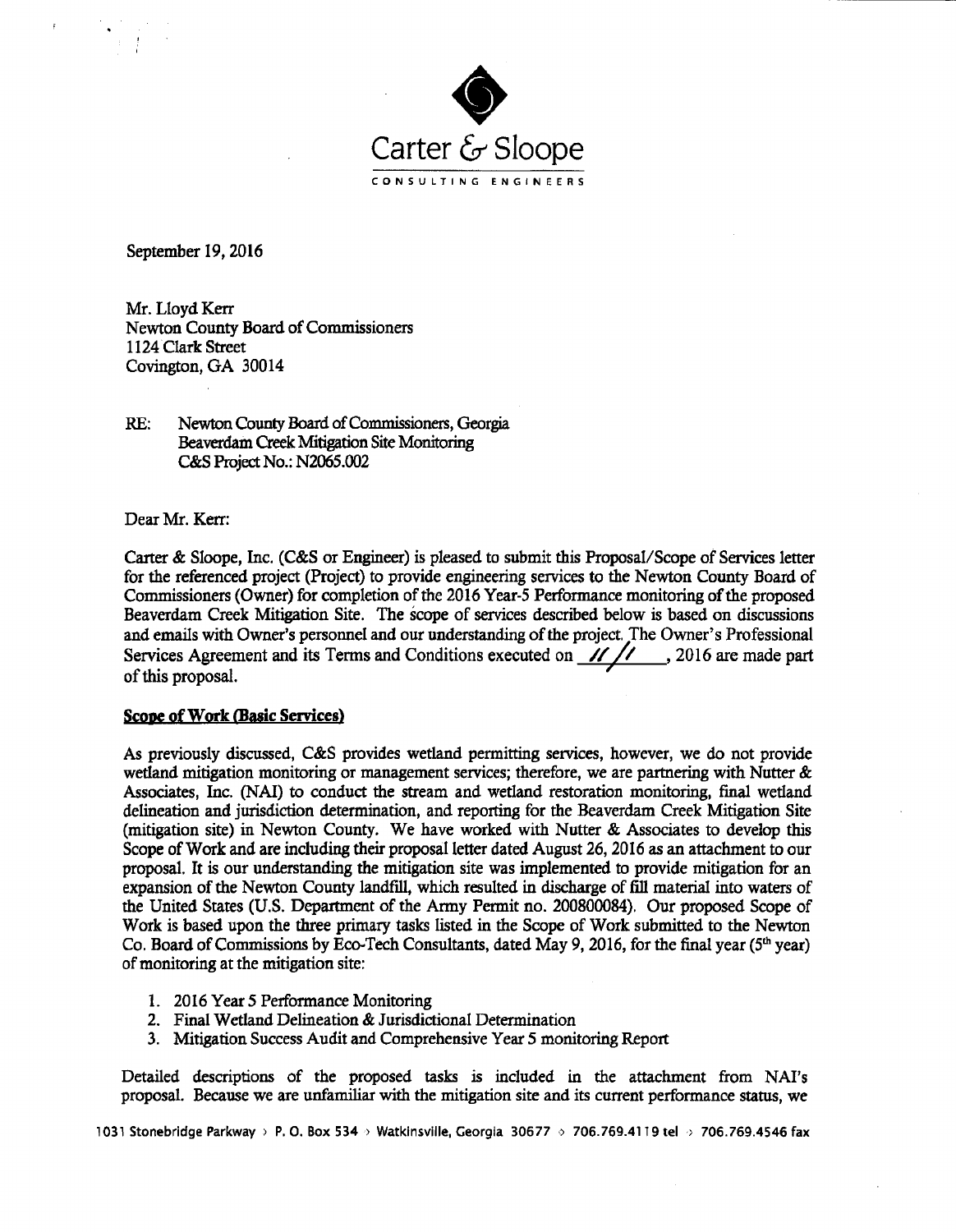

September 19, 2016

Mr. Lloyd Kerr Newton County Board of Commissioners 1124 Clark Street Covington, GA 30014

RE: Newton County Board of Commissioners, Georgia Beaverdam Creek Mitigation Site Monitoring C&S Project No.: N2065.002

Dear Mr. Kerr:

Carter & Sloope, Inc. (C&S or Engineer) is pleased to submit this Proposal/Scope of Services letter for the referenced project (Project) to provide engineering services to the Newton County Board of Commissioners (Owner) for completion of the 2016 Year-5 Performance monitoring of the proposed Beaverdam Creek Mitigation Site. The scope of services described below is based on discussions and emails with Owner's personnel and our understanding of the project. The Owner's Professional Services Agreement and its Terms and Conditions executed on  $\frac{1}{\sqrt{2}}$ , 2016 are made part of this proposal.

## Scope of Work (Basic Services)

As previously discussed, C&S provides wetland permitting services, however, we do not provide wetland mitigation monitoring or management services; therefore, we are partnering with Nutter  $\&$ Associates, Inc. WAI) to conduct the stream and wetland restoration monitoring, final wetland delineation and jurisdiction determination, and reporting for the Beaverdam Creek Mitigation Site mitigation site) in Newton County. We have worked with Nutter & Associates to develop this Scope of Work and are including their proposal letter dated August 26, 2016 as an attachment to our proposal. It is our understanding the mitigation site was implemented to provide mitigation for an expansion of the Newton County landfill, which resulted in discharge of fill material into waters of the United States ( U.S. Department of the Army Permit no. 200800084). Our proposed Scope of Work is based upon the three primary tasks listed in the Scope of Work submitted to the Newton Co. Board of Commissions by Eco-Tech Consultants, dated May 9, 2016, for the final year ( $5<sup>th</sup> year$ ) of monitoring at the mitigation site:

- 1. 2016 Year 5 Performance Monitoring
- 2. Final Wetland Delineation& Jurisdictional Determination
- 3. Mitigation Success Audit and Comprehensive Year 5 monitoring Report

Detailed descriptions of the proposed tasks is included in the attachment from NAI's proposal. Because we are unfamiliar with the mitigation site and its current performance status, we

1031 Stonebridge Parkway > P. O. Box 534 > Watkinsville, Georgia 30677 > 706.769.4119 tel > 706.769.4546 fax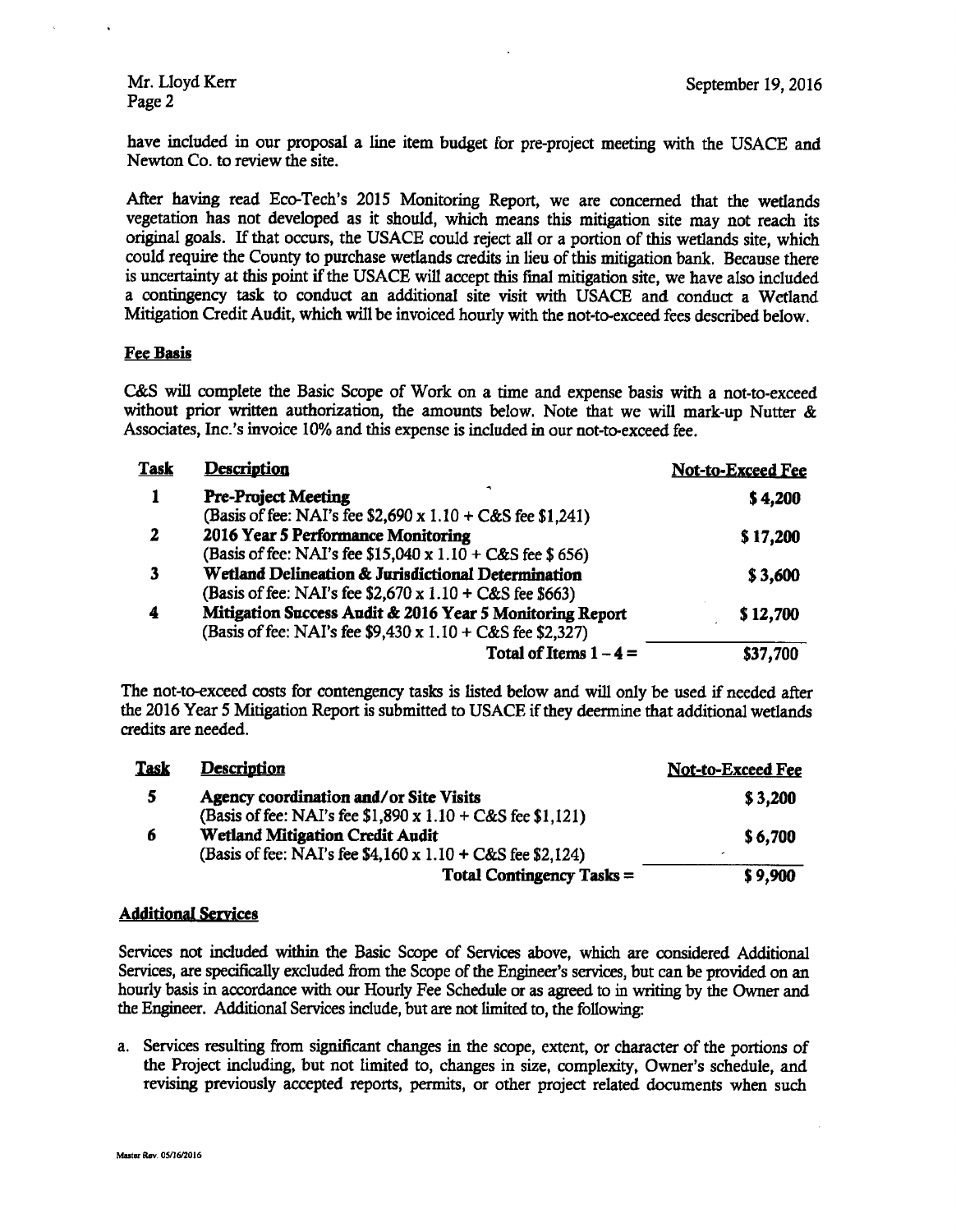have included in our proposal a line item budget for pre-project meeting with the USACE and Newton Co. to review the site.

After having read Eco-Tech's 2015 Monitoring Report, we are concerned that the wetlands vegetation has not developed as it should, which means this mitigation site may not reach its original goals. If that occurs, the USACE could reject all or <sup>a</sup> portion of this wetlands site, which could require the County to purchase wetlands credits in lieu of this mitigation bank. Because there is uncertainty at this point if the USACE will accept this final mitigation site, we have also included a contingency task to conduct an additional site visit with USACE and conduct <sup>a</sup> Wetland Mitigation Credit Audit, which will be invoiced hourly with the not-to-exceed fees described below.

# Fee Basis

C&S will complete the Basic Scope of Work on a time and expense basis with a not-to-exceed without prior written authorization, the amounts below. Note that we will mark-up Nutter & Associates, Inc.'<sup>s</sup> invoice 10% and this expense is included in our not-to-exceed fee.

| <b>Task</b> | <b>Description</b>                                                | Not-to-Exceed Fee |
|-------------|-------------------------------------------------------------------|-------------------|
|             | <b>Pre-Project Meeting</b>                                        | \$4,200           |
|             | (Basis of fee: NAI's fee \$2,690 x $1.10 + C&S$ fee \$1,241)      |                   |
| 2           | 2016 Year 5 Performance Monitoring                                | \$17,200          |
|             | (Basis of fee: NAI's fee $$15,040 \times 1.10 + C&S$ fee $$656$ ) |                   |
|             | Wetland Delineation & Jurisdictional Determination                | \$3,600           |
|             | (Basis of fee: NAI's fee $$2,670 \times 1.10 + C&S$ fee \$663)    |                   |
| 4           | Mitigation Success Audit & 2016 Year 5 Monitoring Report          | \$12,700          |
|             | (Basis of fee: NAI's fee \$9,430 x 1.10 + C&S fee \$2,327)        |                   |
|             | Total of Items $1 - 4 =$                                          | \$37,700          |

The not-to-exceed costs for contengency tasks is listed below and will only be used if needed after the 2016 Year 5 Mitigation Report is submitted to USACE if they deermine that additional wetlands credits are needed.

| <b>Task</b> | <b>Description</b>                                                | <b>Not-to-Exceed Fee</b> |
|-------------|-------------------------------------------------------------------|--------------------------|
| 5.          | Agency coordination and/or Site Visits                            | \$3,200                  |
|             | (Basis of fee: NAI's fee $$1,890 \times 1.10 + C&S$ fee $$1,121)$ |                          |
| 6           | <b>Wetland Mitigation Credit Audit</b>                            | \$6,700                  |
|             | (Basis of fee: NAI's fee \$4,160 x 1.10 + C&S fee \$2,124)        |                          |
|             | <b>Total Contingency Tasks =</b>                                  | \$9,900                  |

## Additional Services

Services not included within the Basic Scope of Services above, which are considered Additional Services, are specifically excluded from the Scope of the Engineer's services, but can be provided on an hourly basis in accordance with our Hourly Fee Schedule or as agreed to in writing by the Owner and the Engineer. Additional Services include, but are not limited to, the following:

a. Services resulting from significant changes in the scope, extent, or character of the portions of the Project including, but not limited to, changes in size, complexity, Owner's schedule, and revising previously accepted reports, permits, or other project related documents when such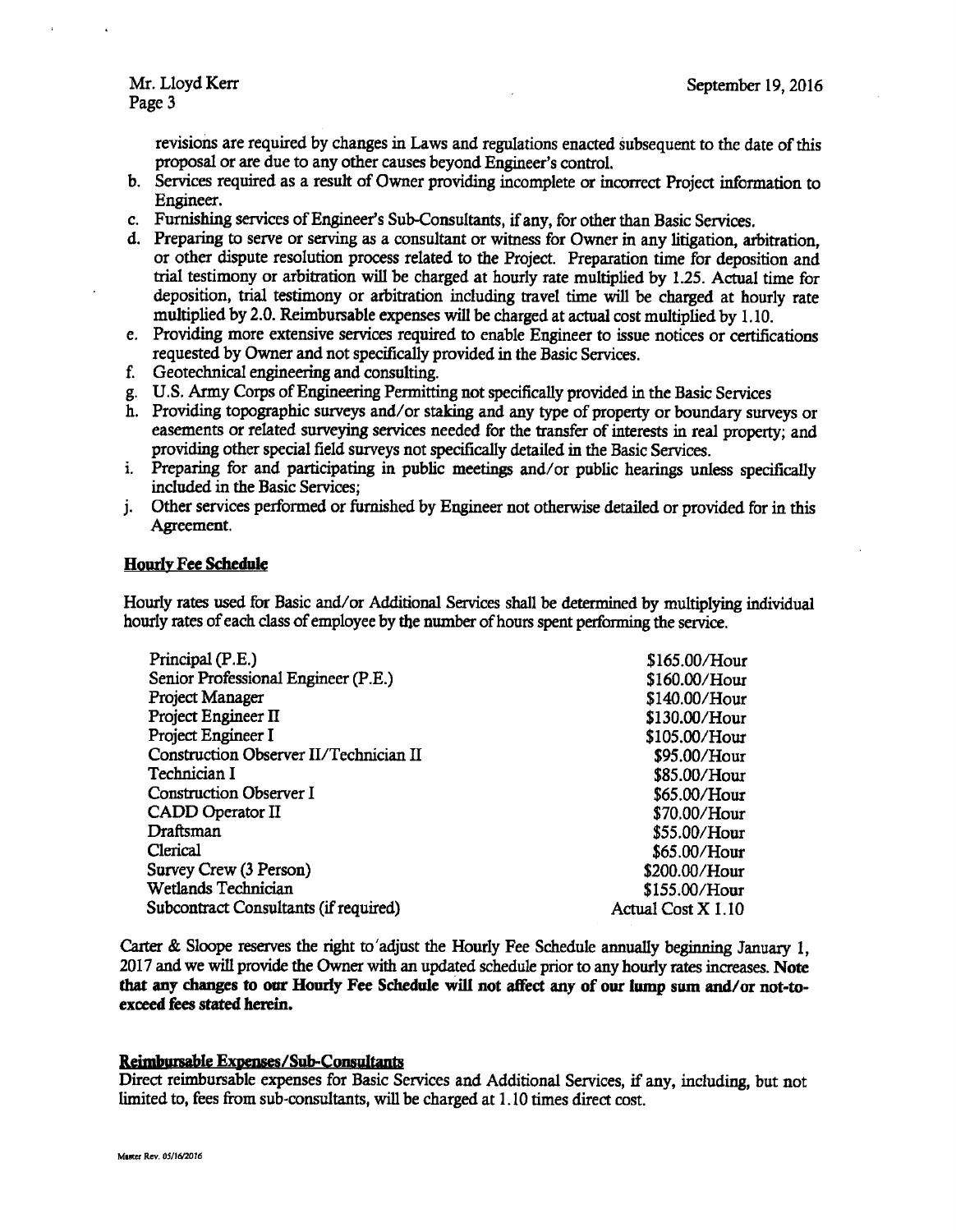revisions are required by changes in Laws and regulations enacted subsequent to the date of this proposal or are due to any other causes beyond Engineer's control.

- b. Services required as a result of Owner providing incomplete or incorrect Project information to Engineer.
- c. Furnishing services of Engineer's Sub-Consultants, if any, for other than Basic Services.
- d. Preparing to serve or serving as <sup>a</sup> consultant or witness for Owner in any litigation, arbitration, or other dispute resolution process related to the Project. Preparation time for deposition and trial testimony or arbitration will be charged at hourly rate multiplied by 1. 25. Actual time for deposition, trial testimony or arbitration including travel time will be charged at hourly rate multiplied by 2.0. Reimbursable expenses will be charged at actual cost multiplied by 1. 10.
- e. Providing more extensive services required to enable Engineer to issue notices or certifications requested by Owner and not specifically provided in the Basic Services.
- f. Geotechnical engineering and consulting.
- g. U.S. Army Corps ofEngineering Permitting not specifically provided in the Basic Services
- h. Providing topographic surveys and/ or staking and any type of property or boundary surveys or easements or related surveying services needed for the transfer of interests in real property; and providing other special field surveys not specifically detailed in the Basic Services.
- i. Preparing for and participating in public meetings and/ or public hearings unless specifically included in the Basic Services;
- j. Other services performed or furnished by Engineer not otherwise detailed or provided for in this Agreement.

### Hourly Fee Schedule

Hourly rates used for Basic and/or Additional Services shall be determined by multiplying individual hourly rates of each class of employee by the number of hours spent performing the service.

| Principal (P.E.)                       | \$165.00/Hour      |
|----------------------------------------|--------------------|
| Senior Professional Engineer (P.E.)    | \$160.00/Hour      |
| Project Manager                        | \$140.00/Hour      |
| Project Engineer II                    | \$130.00/Hour      |
| Project Engineer I                     | \$105.00/Hour      |
| Construction Observer II/Technician II | \$95.00/Hour       |
| Technician I                           | \$85.00/Hour       |
| <b>Construction Observer I</b>         | \$65.00/Hour       |
| CADD Operator II                       | $$70.00/H$ our     |
| Draftsman                              | \$55.00/Hour       |
| Clerical                               | $$65.00/H$ our     |
| Survey Crew (3 Person)                 | \$200.00/Hour      |
| Wetlands Technician                    | \$155.00/Hour      |
| Subcontract Consultants (if required)  | Actual Cost X 1.10 |

Carter & Sloope reserves the right to' adjust the Hourly Fee Schedule annually beginning January 1, 2017 and we will provide the Owner with an updated schedule prior to any hourly rates increases. Note that any changes to our Hourly Fee Schedule will not affect any of our lump sum and/or not-toexceed fees stated herein.

#### Reimbursable Expenses/Sub-Consultants

Direct reimbursable expenses for Basic Services and Additional Services, if any, including, but not limited to, fees from sub-consultants, will be charged at 1. 10 times direct cost.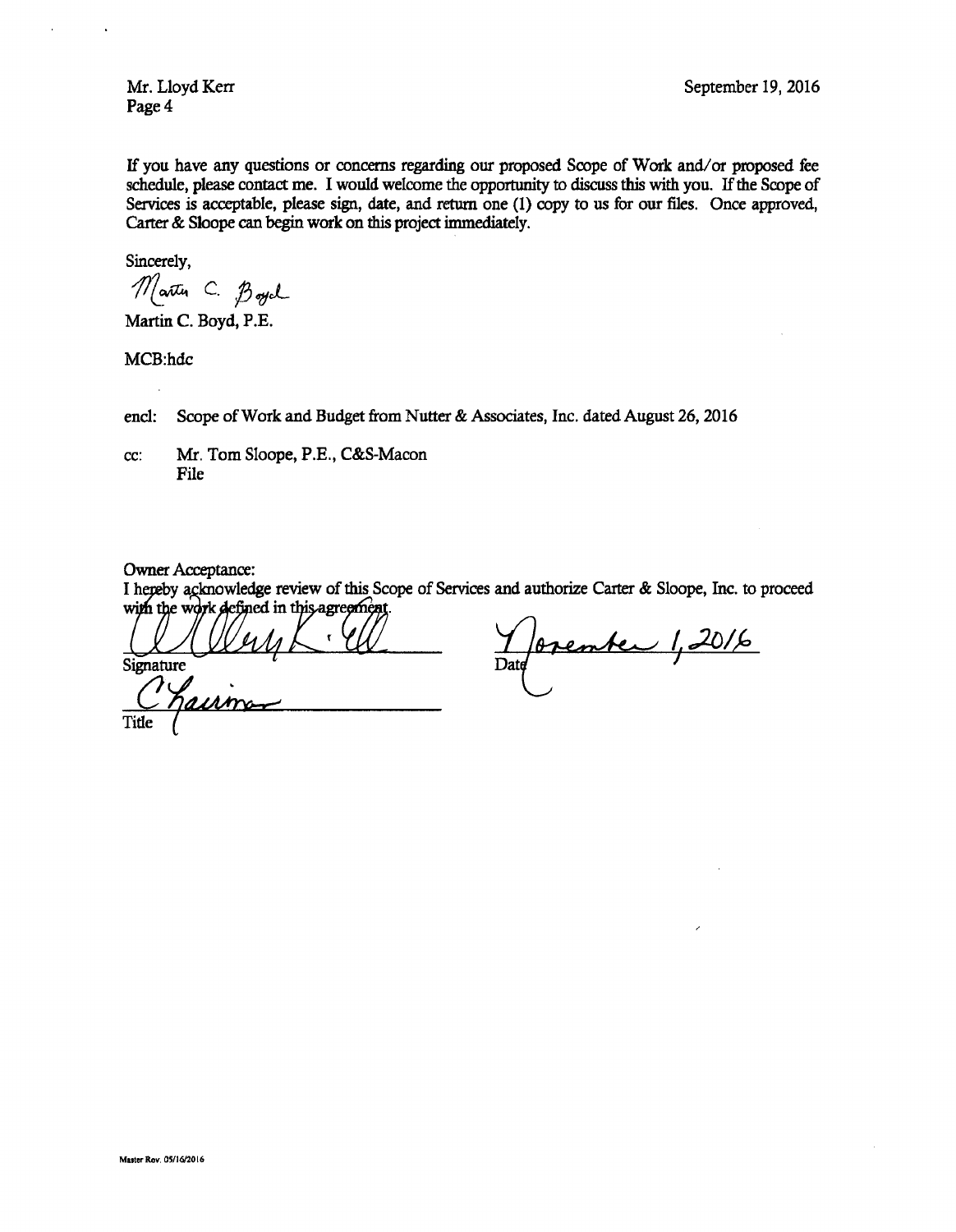Page 4

If you have any questions or concerns regarding our proposed Scope of Work and/ or proposed fee schedule, please contact me. I would welcome the opportunity to discuss this with you. If the Scope of Services is acceptable, please sign, date, and return one (1) copy to us for our files. Once approved, Carter& Sloope can begin work on this project immediately.

Sincerely,

Martin C. Boych

Martin C. Boyd, P.E.

MCB:hdc

encl: Scope of Work and Budget from Nutter & Associates, Inc. dated August 26, 2016

cc: Mr. Tom Sloope, P.E., C&S-Macon File

Owner Acceptance:

I hepeby acknowledge review of this Scope of Services and authorize Carter & Sloope, Inc. to proceed gre

Thereby acknowledge re<br>with the work defined in<br>Signature Signature Date

Openter 1,2016

Title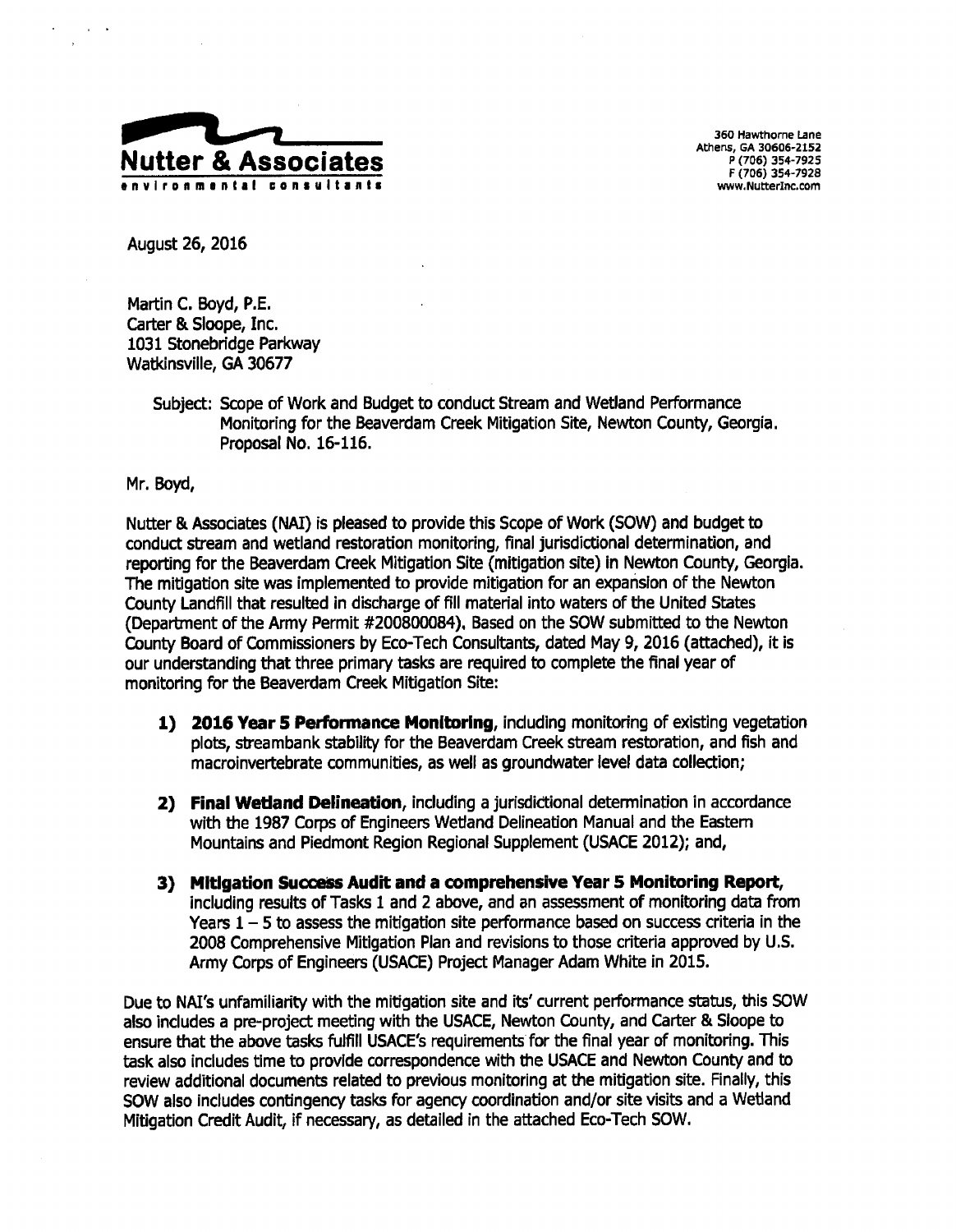

360 Hawthorne Lane Athens, GA 30606-2152<br>P (706) 354-7925 F( 706) 354- 7928

August 26, 2016

Martin C. Boyd, P.E. Carter& Sloope, Inc. 1031 Stonebridge Parkway Watkinsville, GA 30677

> Subject: Scope of Work and Budget to conduct Stream and Wetland Performance Monitoring for the Beaverdam Creek Mitigation Site, Newton County, Georgia. Proposal No. 16-116.

Mr. Boyd,

Nutter& Associates ( NAI) is pleased to provide this Scope of Work( SOW) and budget to conduct stream and wetland restoration monitoring, final jurisdictional determination, and reporting for the Beaverdam Creek Mitigation Site ( mitigation site) in Newton County, Georgia. The mitigation site was implemented to provide mitigation for an expansion of the Newton County Landfill that resulted in discharge of fill material into waters of the United States (Department of the Army Permit # 200800084). Based on the SOW submitted to the Newton County Board of Commissioners by Eco-Tech Consultants, dated May 9, 2016 ( attached), it is our understanding that three primary tasks are required to complete the final year of monitoring for the Beaverdam Creek Mitigation Site:

- 1) 2016 Year 5 Performance Monitoring, including monitoring of existing vegetation plots, streambank stability for the Beaverdam Creek stream restoration, and fish and macroinvertebrate communities, as well as groundwater level data collection;
- 2) Final Wetland Delineation, including <sup>a</sup> jurisdictional determination in accordance with the 1987 Corps of Engineers Wetland Delineation Manual and the Eastern Mountains and Piedmont Region Regional Supplement (USACE 2012); and,
- 3) Mitigation Success Audit and a comprehensive Year 5 Monitoring Report, including results of Tasks <sup>1</sup> and <sup>2</sup> above, and an assessment of monitoring data from Years  $1 - 5$  to assess the mitigation site performance based on success criteria in the 2008 Comprehensive Mitigation Plan and revisions to those criteria approved by U. S. Army Corps of Engineers ( USACE) Project Manager Adam White in 2015.

Due to NAI's unfamiliarity with the mitigation site and its' current performance status, this SOW also includes a pre-project meeting with the USACE, Newton County, and Carter & Sloope to ensure that the above tasks fulfill USACE's requirements for the final year of monitoring. This task also includes time to provide correspondence with the USACE and Newton County and to review additional documents related to previous monitoring at the mitigation site. Finally, this SOW also includes contingency tasks for agency coordination and/or site visits and a Wetland Mitigation Credit Audit, if necessary, as detailed in the attached Eco-Tech SOW.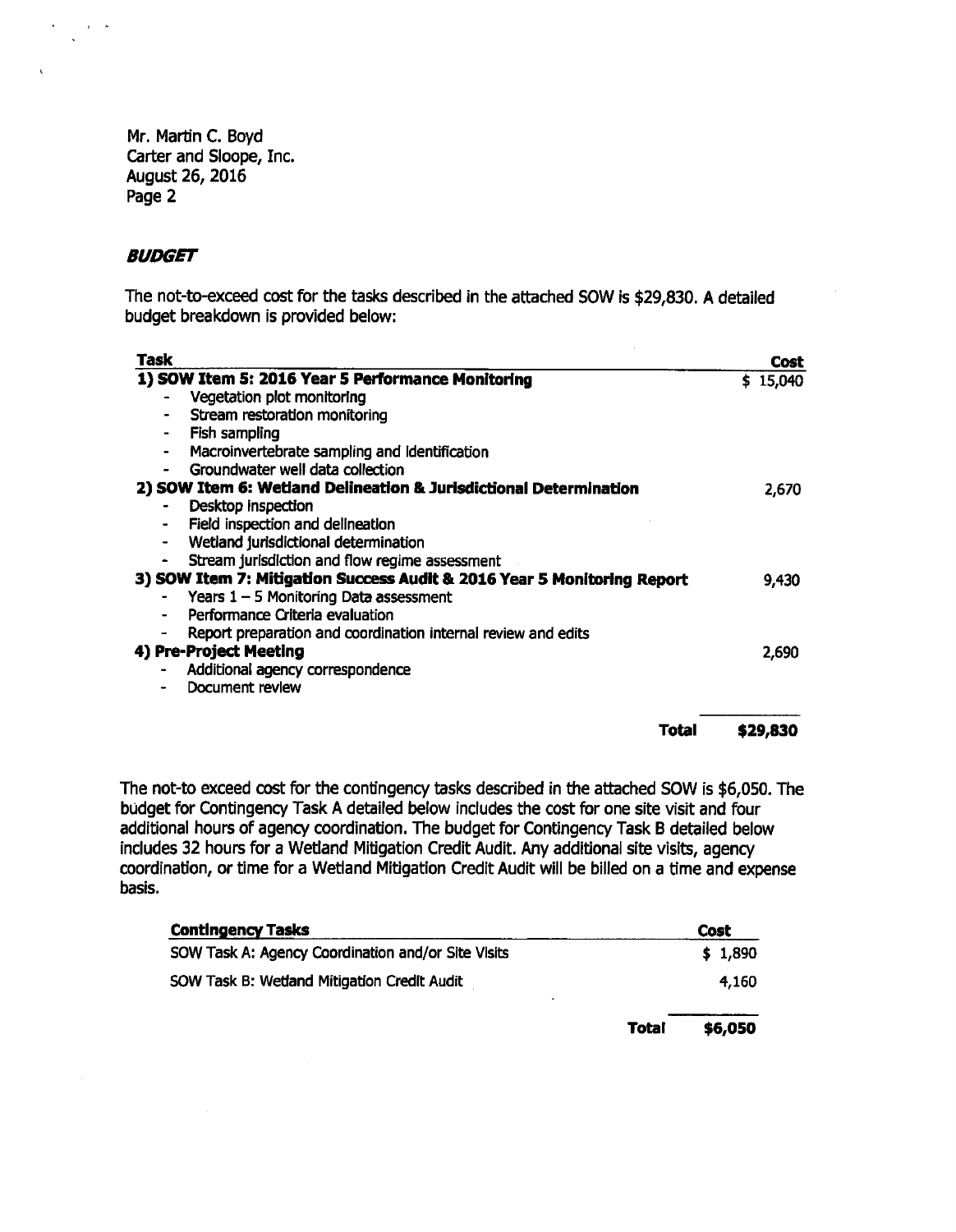Mr. Martin C. Boyd Carter and Sloope, Inc. August 26, 2016 Page 2

# BUDGET

 $\sim 10^{-10}$   $\mu$ 

The not-to-exceed cost for the tasks described in the attached SOW is \$29,830. A detailed budget breakdown is provided below:

 $\sim$ 

| Task                                                                    | <b>Cost</b> |
|-------------------------------------------------------------------------|-------------|
| 1) SOW Item 5: 2016 Year 5 Performance Monitoring                       | \$15,040    |
| Vegetation plot monitoring                                              |             |
| Stream restoration monitoring                                           |             |
| Fish sampling                                                           |             |
| Macroinvertebrate sampling and identification<br>$\blacksquare$         |             |
| Groundwater well data collection                                        |             |
| 2) SOW Item 6: Wetland Delineation & Jurisdictional Determination       | 2,670       |
| Desktop inspection                                                      |             |
| Field inspection and delineation<br>۰                                   |             |
| Wetland jurisdictional determination                                    |             |
| Stream jurisdiction and flow regime assessment                          |             |
| 3) SOW Item 7: Mitigation Success Audit & 2016 Year 5 Monitoring Report | 9,430       |
| Years $1 - 5$ Monitoring Data assessment                                |             |
| Performance Criteria evaluation                                         |             |
| Report preparation and coordination internal review and edits           |             |
| 4) Pre-Project Meeting                                                  | 2,690       |
| Additional agency correspondence                                        |             |
| Document review                                                         |             |
| Total                                                                   | \$29,830    |
|                                                                         |             |

The not-to exceed cost for the contingency tasks described in the attached SOW is \$6,050. The budget for Contingency Task A detailed below includes the cost for one site visit and four additional hours of agency coordination. The budget for Contingency Task B detailed below includes 32 hours for a Wetland Mitigation Credit Audit. Any additional site visits, agency coordination, or time for a Wetland Mitigation Credit Audit will be billed on a time and expense basis.

| <b>Contingency Tasks</b>                           | Cost                    |
|----------------------------------------------------|-------------------------|
| SOW Task A: Agency Coordination and/or Site Visits | \$1,890                 |
| SOW Task B: Wetland Mitigation Credit Audit        | 4,160                   |
|                                                    | <b>Total</b><br>\$6,050 |